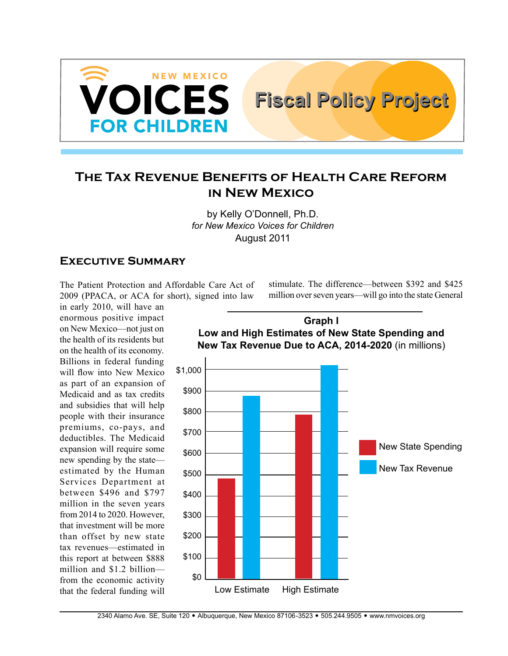

# **The Tax Revenue Benefits of Health Care Reform in New Mexico**

by Kelly O'Donnell, Ph.D. *for New Mexico Voices for Children* August 2011

### **Executive Summary**

The Patient Protection and Affordable Care Act of 2009 (PPACA, or ACA for short), signed into law

in early 2010, will have an enormous positive impact on New Mexico—not just on the health of its residents but on the health of its economy. Billions in federal funding will flow into New Mexico as part of an expansion of Medicaid and as tax credits and subsidies that will help people with their insurance premiums, co-pays, and deductibles. The Medicaid expansion will require some new spending by the state estimated by the Human Services Department at between \$496 and \$797 million in the seven years from 2014 to 2020. However, that investment will be more than offset by new state tax revenues—estimated in this report at between \$888 million and \$1.2 billion from the economic activity that the federal funding will

\$1,000 \$900 \$800 \$700 \$600 \$500 \$400 \$300 \$200 \$100 \$0 New State Spending New Tax Revenue Low Estimate High Estimate **Graph I Low and High Estimates of New State Spending and New Tax Revenue Due to ACA, 2014-2020** (in millions)

stimulate. The difference—between \$392 and \$425 million over seven years—will go into the state General

**Fiscal Policy Project Fiscal Policy Project**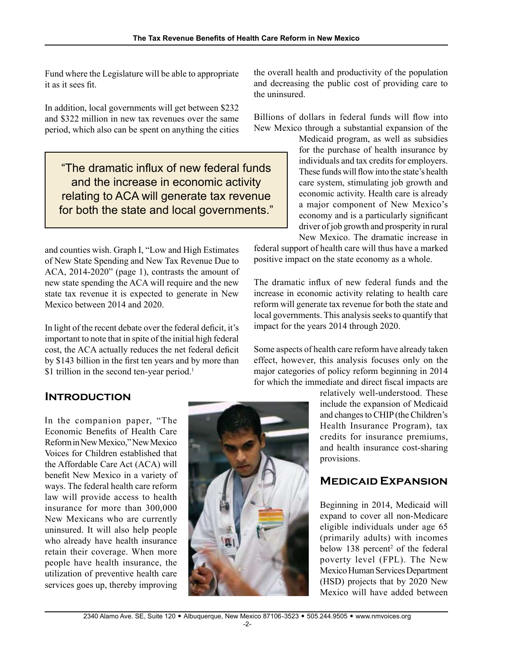Fund where the Legislature will be able to appropriate it as it sees fit.

In addition, local governments will get between \$232 and \$322 million in new tax revenues over the same period, which also can be spent on anything the cities

"The dramatic influx of new federal funds and the increase in economic activity relating to ACA will generate tax revenue for both the state and local governments."

and counties wish. Graph I, "Low and High Estimates of New State Spending and New Tax Revenue Due to ACA, 2014-2020" (page 1), contrasts the amount of new state spending the ACA will require and the new state tax revenue it is expected to generate in New Mexico between 2014 and 2020.

In light of the recent debate over the federal deficit, it's important to note that in spite of the initial high federal cost, the ACA actually reduces the net federal deficit by \$143 billion in the first ten years and by more than \$1 trillion in the second ten-year period.<sup>1</sup>

# **Introduction**

In the companion paper, "The Economic Benefits of Health Care Reform in New Mexico," New Mexico Voices for Children established that the Affordable Care Act (ACA) will benefit New Mexico in a variety of ways. The federal health care reform law will provide access to health insurance for more than 300,000 New Mexicans who are currently uninsured. It will also help people who already have health insurance retain their coverage. When more people have health insurance, the utilization of preventive health care services goes up, thereby improving



the overall health and productivity of the population and decreasing the public cost of providing care to the uninsured.

Billions of dollars in federal funds will flow into New Mexico through a substantial expansion of the

> Medicaid program, as well as subsidies for the purchase of health insurance by individuals and tax credits for employers. These funds will flow into the state's health care system, stimulating job growth and economic activity. Health care is already a major component of New Mexico's economy and is a particularly significant driver of job growth and prosperity in rural New Mexico. The dramatic increase in

federal support of health care will thus have a marked positive impact on the state economy as a whole.

The dramatic influx of new federal funds and the increase in economic activity relating to health care reform will generate tax revenue for both the state and local governments. This analysis seeks to quantify that impact for the years 2014 through 2020.

Some aspects of health care reform have already taken effect, however, this analysis focuses only on the major categories of policy reform beginning in 2014 for which the immediate and direct fiscal impacts are

> relatively well-understood. These include the expansion of Medicaid and changes to CHIP (the Children's Health Insurance Program), tax credits for insurance premiums, and health insurance cost-sharing provisions.

# **Medicaid Expansion**

Beginning in 2014, Medicaid will expand to cover all non-Medicare eligible individuals under age 65 (primarily adults) with incomes below 138 percent<sup>2</sup> of the federal poverty level (FPL). The New Mexico Human Services Department (HSD) projects that by 2020 New Mexico will have added between

-2-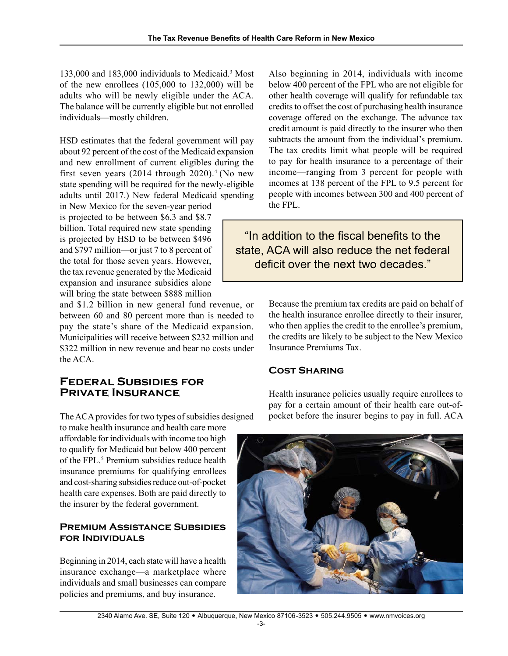133,000 and 183,000 individuals to Medicaid.<sup>3</sup> Most of the new enrollees (105,000 to 132,000) will be adults who will be newly eligible under the ACA. The balance will be currently eligible but not enrolled individuals—mostly children.

HSD estimates that the federal government will pay about 92 percent of the cost of the Medicaid expansion and new enrollment of current eligibles during the first seven years  $(2014$  through  $2020)$ .<sup>4</sup> (No new state spending will be required for the newly-eligible adults until 2017.) New federal Medicaid spending

in New Mexico for the seven-year period is projected to be between \$6.3 and \$8.7 billion. Total required new state spending is projected by HSD to be between \$496 and \$797 million—or just 7 to 8 percent of the total for those seven years. However, the tax revenue generated by the Medicaid expansion and insurance subsidies alone will bring the state between \$888 million

and \$1.2 billion in new general fund revenue, or between 60 and 80 percent more than is needed to pay the state's share of the Medicaid expansion. Municipalities will receive between \$232 million and \$322 million in new revenue and bear no costs under the ACA.

### **Federal Subsidies for Private Insurance**

The ACA provides for two types of subsidies designed

to make health insurance and health care more affordable for individuals with income too high to qualify for Medicaid but below 400 percent of the FPL.<sup>5</sup> Premium subsidies reduce health insurance premiums for qualifying enrollees and cost-sharing subsidies reduce out-of-pocket health care expenses. Both are paid directly to the insurer by the federal government.

### **PREMIUM ASSISTANCE SUBSIDIES for Individuals**

Beginning in 2014, each state will have a health insurance exchange—a marketplace where individuals and small businesses can compare policies and premiums, and buy insurance.

Also beginning in 2014, individuals with income below 400 percent of the FPL who are not eligible for other health coverage will qualify for refundable tax credits to offset the cost of purchasing health insurance coverage offered on the exchange. The advance tax credit amount is paid directly to the insurer who then subtracts the amount from the individual's premium. The tax credits limit what people will be required to pay for health insurance to a percentage of their income—ranging from 3 percent for people with incomes at 138 percent of the FPL to 9.5 percent for people with incomes between 300 and 400 percent of the FPL.

"In addition to the fiscal benefits to the state, ACA will also reduce the net federal deficit over the next two decades."

> Because the premium tax credits are paid on behalf of the health insurance enrollee directly to their insurer, who then applies the credit to the enrollee's premium, the credits are likely to be subject to the New Mexico Insurance Premiums Tax.

## **Cost Sharing**

Health insurance policies usually require enrollees to pay for a certain amount of their health care out-ofpocket before the insurer begins to pay in full. ACA

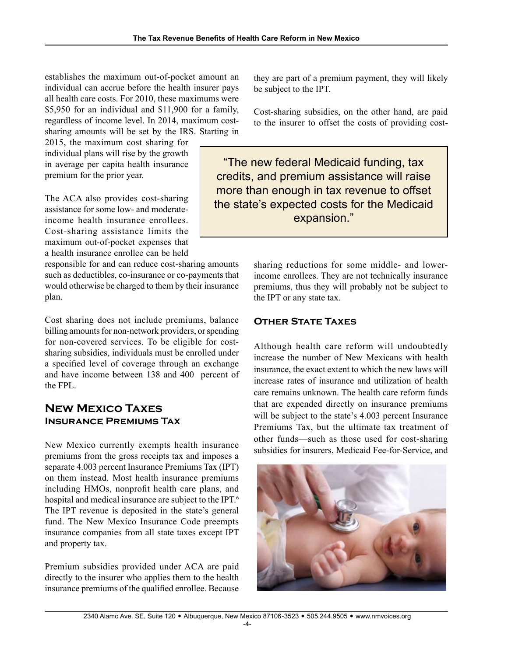establishes the maximum out-of-pocket amount an individual can accrue before the health insurer pays all health care costs. For 2010, these maximums were \$5,950 for an individual and \$11,900 for a family, regardless of income level. In 2014, maximum costsharing amounts will be set by the IRS. Starting in

2015, the maximum cost sharing for individual plans will rise by the growth in average per capita health insurance premium for the prior year.

The ACA also provides cost-sharing assistance for some low- and moderateincome health insurance enrollees. Cost-sharing assistance limits the maximum out-of-pocket expenses that a health insurance enrollee can be held

responsible for and can reduce cost-sharing amounts such as deductibles, co-insurance or co-payments that would otherwise be charged to them by their insurance plan.

Cost sharing does not include premiums, balance billing amounts for non-network providers, or spending for non-covered services. To be eligible for costsharing subsidies, individuals must be enrolled under a specified level of coverage through an exchange and have income between 138 and 400 percent of the FPL.

# **New Mexico Taxes Insurance Premiums Tax**

New Mexico currently exempts health insurance premiums from the gross receipts tax and imposes a separate 4.003 percent Insurance Premiums Tax (IPT) on them instead. Most health insurance premiums including HMOs, nonprofit health care plans, and hospital and medical insurance are subject to the IPT.<sup>6</sup> The IPT revenue is deposited in the state's general fund. The New Mexico Insurance Code preempts insurance companies from all state taxes except IPT and property tax.

Premium subsidies provided under ACA are paid directly to the insurer who applies them to the health insurance premiums of the qualified enrollee. Because

they are part of a premium payment, they will likely be subject to the IPT.

Cost-sharing subsidies, on the other hand, are paid to the insurer to offset the costs of providing cost-

"The new federal Medicaid funding, tax credits, and premium assistance will raise more than enough in tax revenue to offset the state's expected costs for the Medicaid expansion."

> sharing reductions for some middle- and lowerincome enrollees. They are not technically insurance premiums, thus they will probably not be subject to the IPT or any state tax.

### **Other State Taxes**

Although health care reform will undoubtedly increase the number of New Mexicans with health insurance, the exact extent to which the new laws will increase rates of insurance and utilization of health care remains unknown. The health care reform funds that are expended directly on insurance premiums will be subject to the state's 4.003 percent Insurance Premiums Tax, but the ultimate tax treatment of other funds—such as those used for cost-sharing subsidies for insurers, Medicaid Fee-for-Service, and

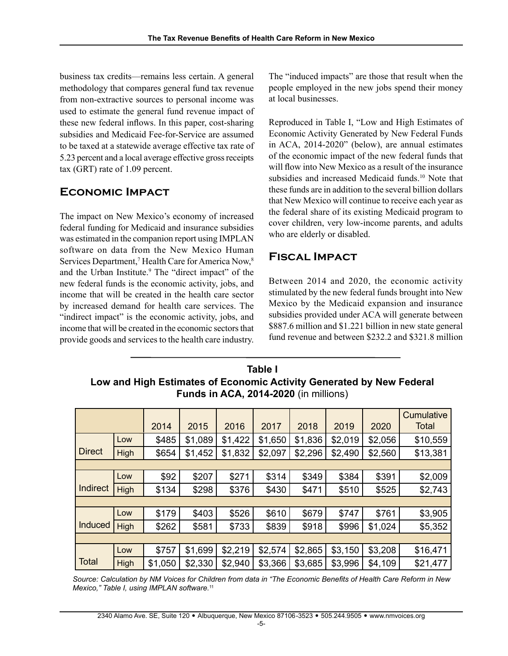business tax credits—remains less certain. A general methodology that compares general fund tax revenue from non-extractive sources to personal income was used to estimate the general fund revenue impact of these new federal inflows. In this paper, cost-sharing subsidies and Medicaid Fee-for-Service are assumed to be taxed at a statewide average effective tax rate of 5.23 percent and a local average effective gross receipts tax (GRT) rate of 1.09 percent.

## **Economic Impact**

The impact on New Mexico's economy of increased federal funding for Medicaid and insurance subsidies was estimated in the companion report using IMPLAN software on data from the New Mexico Human Services Department,<sup>7</sup> Health Care for America Now,<sup>8</sup> and the Urban Institute.<sup>9</sup> The "direct impact" of the new federal funds is the economic activity, jobs, and income that will be created in the health care sector by increased demand for health care services. The "indirect impact" is the economic activity, jobs, and income that will be created in the economic sectors that provide goods and services to the health care industry.

The "induced impacts" are those that result when the people employed in the new jobs spend their money at local businesses.

Reproduced in Table I, "Low and High Estimates of Economic Activity Generated by New Federal Funds in ACA, 2014-2020" (below), are annual estimates of the economic impact of the new federal funds that will flow into New Mexico as a result of the insurance subsidies and increased Medicaid funds.<sup>10</sup> Note that these funds are in addition to the several billion dollars that New Mexico will continue to receive each year as the federal share of its existing Medicaid program to cover children, very low-income parents, and adults who are elderly or disabled.

# **Fiscal Impact**

Between 2014 and 2020, the economic activity stimulated by the new federal funds brought into New Mexico by the Medicaid expansion and insurance subsidies provided under ACA will generate between \$887.6 million and \$1.221 billion in new state general fund revenue and between \$232.2 and \$321.8 million

## **Table I Low and High Estimates of Economic Activity Generated by New Federal Funds in ACA, 2014-2020** (in millions)

|                 |      | 2014    | 2015    | 2016    | 2017    | 2018    | 2019    | 2020    | Cumulative<br><b>Total</b> |
|-----------------|------|---------|---------|---------|---------|---------|---------|---------|----------------------------|
|                 | Low  | \$485   | \$1,089 | \$1,422 | \$1,650 | \$1,836 | \$2,019 | \$2,056 | \$10,559                   |
| <b>Direct</b>   | High | \$654   | \$1,452 | \$1,832 | \$2,097 | \$2,296 | \$2,490 | \$2,560 | \$13,381                   |
|                 |      |         |         |         |         |         |         |         |                            |
| <b>Indirect</b> | Low  | \$92    | \$207   | \$271   | \$314   | \$349   | \$384   | \$391   | \$2,009                    |
|                 | High | \$134   | \$298   | \$376   | \$430   | \$471   | \$510   | \$525   | \$2,743                    |
|                 |      |         |         |         |         |         |         |         |                            |
|                 | Low  | \$179   | \$403   | \$526   | \$610   | \$679   | \$747   | \$761   | \$3,905                    |
| <b>Induced</b>  | High | \$262   | \$581   | \$733   | \$839   | \$918   | \$996   | \$1,024 | \$5,352                    |
|                 |      |         |         |         |         |         |         |         |                            |
|                 | Low  | \$757   | \$1,699 | \$2,219 | \$2,574 | \$2,865 | \$3,150 | \$3,208 | \$16,471                   |
| <b>Total</b>    | High | \$1,050 | \$2,330 | \$2,940 | \$3,366 | \$3,685 | \$3,996 | \$4,109 | \$21,477                   |

*Source: Calculation by NM Voices for Children from data in "The Economic Benefits of Health Care Reform in New Mexico," Table I, using IMPLAN software.*<sup>11</sup>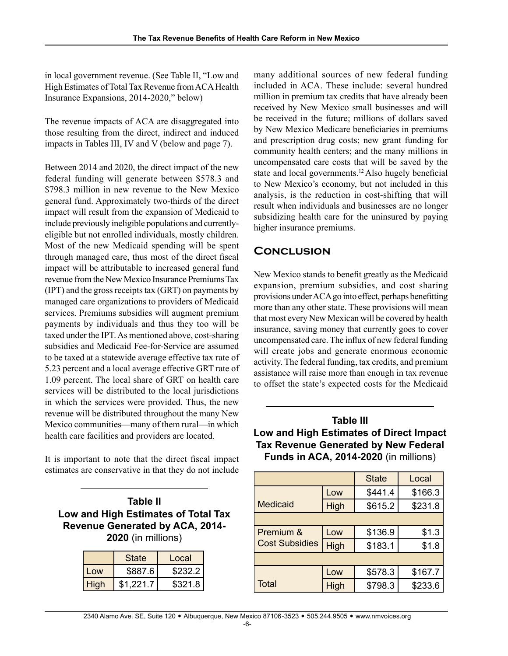in local government revenue. (See Table II, "Low and High Estimates of Total Tax Revenue from ACA Health Insurance Expansions, 2014-2020," below)

The revenue impacts of ACA are disaggregated into those resulting from the direct, indirect and induced impacts in Tables III, IV and V (below and page 7).

Between 2014 and 2020, the direct impact of the new federal funding will generate between \$578.3 and \$798.3 million in new revenue to the New Mexico general fund. Approximately two-thirds of the direct impact will result from the expansion of Medicaid to include previously ineligible populations and currentlyeligible but not enrolled individuals, mostly children. Most of the new Medicaid spending will be spent through managed care, thus most of the direct fiscal impact will be attributable to increased general fund revenue from the New Mexico Insurance Premiums Tax (IPT) and the gross receipts tax (GRT) on payments by managed care organizations to providers of Medicaid services. Premiums subsidies will augment premium payments by individuals and thus they too will be taxed under the IPT. As mentioned above, cost-sharing subsidies and Medicaid Fee-for-Service are assumed to be taxed at a statewide average effective tax rate of 5.23 percent and a local average effective GRT rate of 1.09 percent. The local share of GRT on health care services will be distributed to the local jurisdictions in which the services were provided. Thus, the new revenue will be distributed throughout the many New Mexico communities—many of them rural—in which health care facilities and providers are located.

It is important to note that the direct fiscal impact estimates are conservative in that they do not include

| Table II                               |
|----------------------------------------|
| Low and High Estimates of Total Tax    |
| <b>Revenue Generated by ACA, 2014-</b> |
| 2020 (in millions)                     |

|      | <b>State</b> | Local   |
|------|--------------|---------|
| l റw | \$887.6      | \$232.2 |
| High | \$1.221.7    | \$321.8 |

many additional sources of new federal funding included in ACA. These include: several hundred million in premium tax credits that have already been received by New Mexico small businesses and will be received in the future; millions of dollars saved by New Mexico Medicare beneficiaries in premiums and prescription drug costs; new grant funding for community health centers; and the many millions in uncompensated care costs that will be saved by the state and local governments.12 Also hugely beneficial to New Mexico's economy, but not included in this analysis, is the reduction in cost-shifting that will result when individuals and businesses are no longer subsidizing health care for the uninsured by paying higher insurance premiums.

# **Conclusion**

New Mexico stands to benefit greatly as the Medicaid expansion, premium subsidies, and cost sharing provisions under ACA go into effect, perhaps benefitting more than any other state. These provisions will mean that most every New Mexican will be covered by health insurance, saving money that currently goes to cover uncompensated care. The influx of new federal funding will create jobs and generate enormous economic activity. The federal funding, tax credits, and premium assistance will raise more than enough in tax revenue to offset the state's expected costs for the Medicaid

## **Table III Low and High Estimates of Direct Impact Tax Revenue Generated by New Federal Funds in ACA, 2014-2020** (in millions)

|                       |      | <b>State</b> | Local   |
|-----------------------|------|--------------|---------|
|                       | Low  | \$441.4      | \$166.3 |
| <b>Medicaid</b>       | High | \$615.2      | \$231.8 |
|                       |      |              |         |
| Premium &             | Low  | \$136.9      | \$1.3   |
| <b>Cost Subsidies</b> | High | \$183.1      | \$1.8   |
|                       |      |              |         |
|                       | Low  | \$578.3      | \$167.7 |
| <b>Total</b>          | High | \$798.3      | \$233.6 |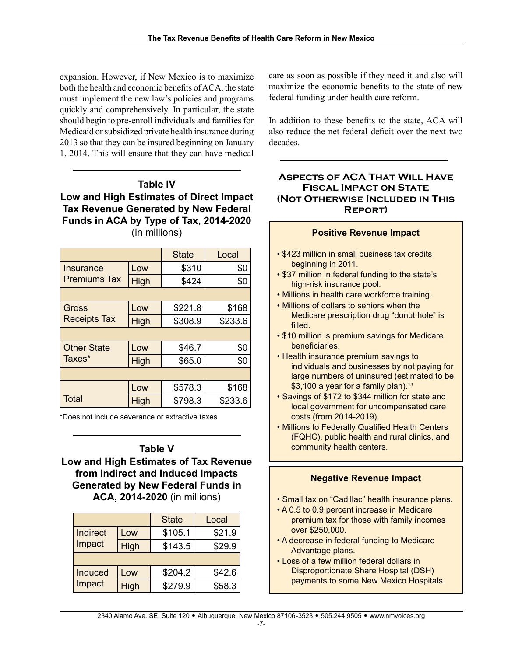expansion. However, if New Mexico is to maximize both the health and economic benefits of ACA, the state must implement the new law's policies and programs quickly and comprehensively. In particular, the state should begin to pre-enroll individuals and families for Medicaid or subsidized private health insurance during 2013 so that they can be insured beginning on January 1, 2014. This will ensure that they can have medical

## **Table IV Low and High Estimates of Direct Impact Tax Revenue Generated by New Federal Funds in ACA by Type of Tax, 2014-2020**  (in millions)

|                     |      | <b>State</b> | Local   |  |  |
|---------------------|------|--------------|---------|--|--|
| Insurance           | Low  | \$310        | \$0     |  |  |
| <b>Premiums Tax</b> | High | \$424        | \$0     |  |  |
|                     |      |              |         |  |  |
| <b>Gross</b>        | Low  | \$221.8      | \$168   |  |  |
| <b>Receipts Tax</b> | High | \$308.9      | \$233.6 |  |  |
|                     |      |              |         |  |  |
| <b>Other State</b>  | Low  | \$46.7       | \$0     |  |  |
| Taxes*              | High | \$65.0       | \$0     |  |  |
|                     |      |              |         |  |  |
|                     | Low  | \$578.3      | \$168   |  |  |
| <b>Total</b>        | High | \$798.3      | \$233.6 |  |  |

\*Does not include severance or extractive taxes

# **Table V**

**Low and High Estimates of Tax Revenue from Indirect and Induced Impacts Generated by New Federal Funds in ACA, 2014-2020** (in millions)

|          |      | <b>State</b> | Local  |
|----------|------|--------------|--------|
| Indirect | _OW  | \$105.1      | \$21.9 |
| Impact   | High | \$143.5      | \$29.9 |
|          |      |              |        |
| Induced  | Low  | \$204.2      | \$42.6 |
| Impact   | High | \$279.9      | \$58.3 |

care as soon as possible if they need it and also will maximize the economic benefits to the state of new federal funding under health care reform.

In addition to these benefits to the state, ACA will also reduce the net federal deficit over the next two decades.

#### **Aspects of ACA That Will Have Fiscal Impact on State (Not Otherwise Included in This Report)**

| <b>Positive Revenue Impact</b>                                                                                                                  |
|-------------------------------------------------------------------------------------------------------------------------------------------------|
| • \$423 million in small business tax credits<br>beginning in 2011.                                                                             |
| . \$37 million in federal funding to the state's<br>high-risk insurance pool.                                                                   |
| . Millions in health care workforce training.                                                                                                   |
| • Millions of dollars to seniors when the                                                                                                       |
| Medicare prescription drug "donut hole" is<br>filled.                                                                                           |
| . \$10 million is premium savings for Medicare<br>beneficiaries.                                                                                |
| • Health insurance premium savings to                                                                                                           |
| individuals and businesses by not paying for<br>large numbers of uninsured (estimated to be<br>\$3,100 a year for a family plan). <sup>13</sup> |
| · Savings of \$172 to \$344 million for state and<br>local government for uncompensated care<br>costs (from 2014-2019).                         |

• Millions to Federally Qualified Health Centers (FQHC), public health and rural clinics, and community health centers.

#### **Negative Revenue Impact**

- Small tax on "Cadillac" health insurance plans.
- A 0.5 to 0.9 percent increase in Medicare premium tax for those with family incomes over \$250,000.
- A decrease in federal funding to Medicare Advantage plans.
- Loss of a few million federal dollars in Disproportionate Share Hospital (DSH) payments to some New Mexico Hospitals.